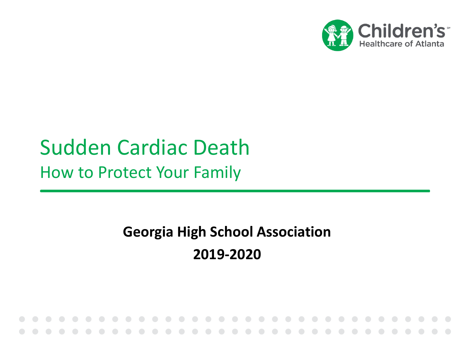

# Sudden Cardiac Death How to Protect Your Family

### **Georgia High School Association 2019-2020**

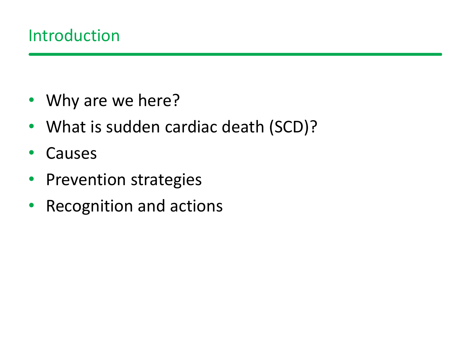- Why are we here?
- What is sudden cardiac death (SCD)?
- Causes
- Prevention strategies
- Recognition and actions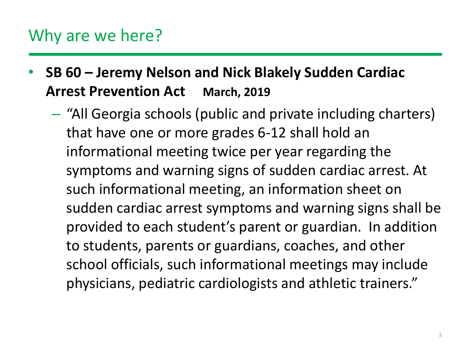### Why are we here?

- **SB 60 – Jeremy Nelson and Nick Blakely Sudden Cardiac Arrest Prevention Act March, 2019**
	- "All Georgia schools (public and private including charters) that have one or more grades 6-12 shall hold an informational meeting twice per year regarding the symptoms and warning signs of sudden cardiac arrest. At such informational meeting, an information sheet on sudden cardiac arrest symptoms and warning signs shall be provided to each student's parent or guardian. In addition to students, parents or guardians, coaches, and other school officials, such informational meetings may include physicians, pediatric cardiologists and athletic trainers."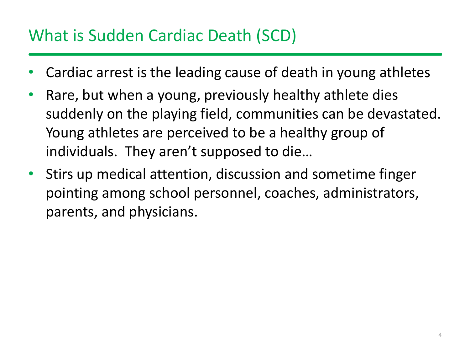# What is Sudden Cardiac Death (SCD)

- Cardiac arrest is the leading cause of death in young athletes
- Rare, but when a young, previously healthy athlete dies suddenly on the playing field, communities can be devastated. Young athletes are perceived to be a healthy group of individuals. They aren't supposed to die…
- Stirs up medical attention, discussion and sometime finger pointing among school personnel, coaches, administrators, parents, and physicians.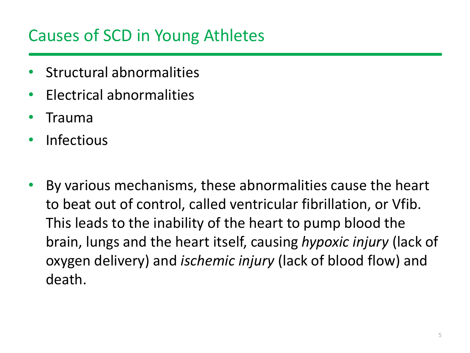# Causes of SCD in Young Athletes

- Structural abnormalities
- Electrical abnormalities
- Trauma
- Infectious
- By various mechanisms, these abnormalities cause the heart to beat out of control, called ventricular fibrillation, or Vfib. This leads to the inability of the heart to pump blood the brain, lungs and the heart itself, causing *hypoxic injury* (lack of oxygen delivery) and *ischemic injury* (lack of blood flow) and death.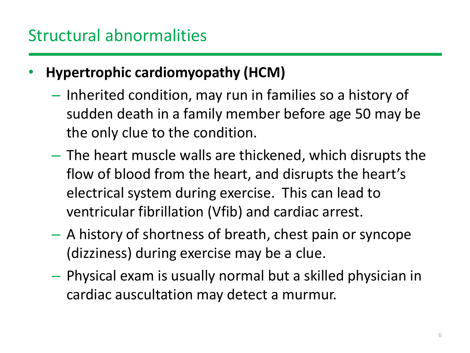- **Hypertrophic cardiomyopathy (HCM)**
	- Inherited condition, may run in families so a history of sudden death in a family member before age 50 may be the only clue to the condition.
	- The heart muscle walls are thickened, which disrupts the flow of blood from the heart, and disrupts the heart's electrical system during exercise. This can lead to ventricular fibrillation (Vfib) and cardiac arrest.
	- A history of shortness of breath, chest pain or syncope (dizziness) during exercise may be a clue.
	- Physical exam is usually normal but a skilled physician in cardiac auscultation may detect a murmur.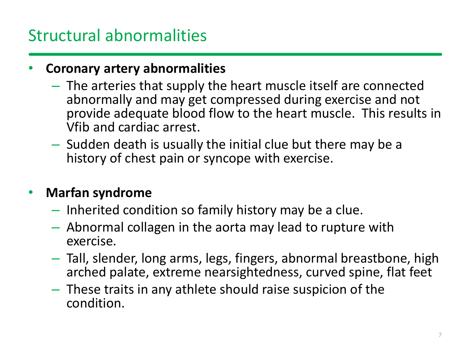### Structural abnormalities

#### • **Coronary artery abnormalities**

- The arteries that supply the heart muscle itself are connected abnormally and may get compressed during exercise and not provide adequate blood flow to the heart muscle. This results in Vfib and cardiac arrest.
- Sudden death is usually the initial clue but there may be a history of chest pain or syncope with exercise.

#### • **Marfan syndrome**

- Inherited condition so family history may be a clue.
- Abnormal collagen in the aorta may lead to rupture with exercise.
- Tall, slender, long arms, legs, fingers, abnormal breastbone, high arched palate, extreme nearsightedness, curved spine, flat feet
- These traits in any athlete should raise suspicion of the condition.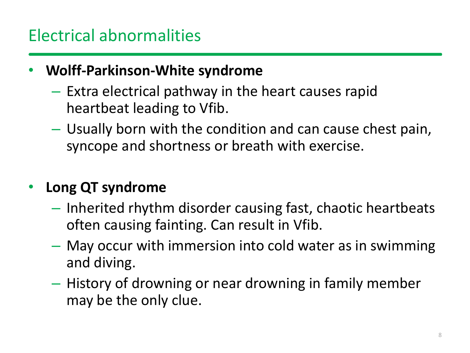# Electrical abnormalities

### • **Wolff-Parkinson-White syndrome**

- Extra electrical pathway in the heart causes rapid heartbeat leading to Vfib.
- Usually born with the condition and can cause chest pain, syncope and shortness or breath with exercise.

### • **Long QT syndrome**

- Inherited rhythm disorder causing fast, chaotic heartbeats often causing fainting. Can result in Vfib.
- May occur with immersion into cold water as in swimming and diving.
- History of drowning or near drowning in family member may be the only clue.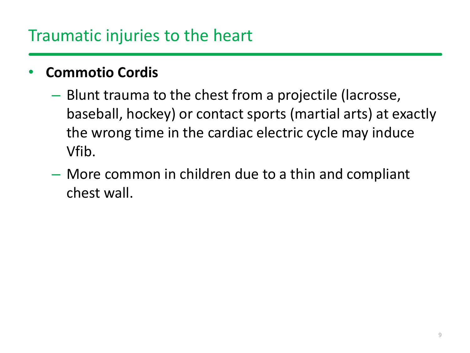### Traumatic injuries to the heart

### • **Commotio Cordis**

- Blunt trauma to the chest from a projectile (lacrosse, baseball, hockey) or contact sports (martial arts) at exactly the wrong time in the cardiac electric cycle may induce Vfib.
- More common in children due to a thin and compliant chest wall.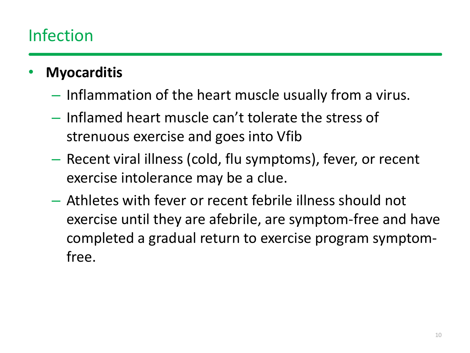# Infection

- **Myocarditis**
	- Inflammation of the heart muscle usually from a virus.
	- Inflamed heart muscle can't tolerate the stress of strenuous exercise and goes into Vfib
	- Recent viral illness (cold, flu symptoms), fever, or recent exercise intolerance may be a clue.
	- Athletes with fever or recent febrile illness should not exercise until they are afebrile, are symptom-free and have completed a gradual return to exercise program symptomfree.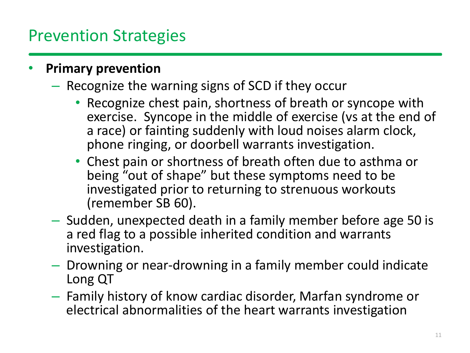### Prevention Strategies

#### • **Primary prevention**

- Recognize the warning signs of SCD if they occur
	- Recognize chest pain, shortness of breath or syncope with exercise. Syncope in the middle of exercise (vs at the end of a race) or fainting suddenly with loud noises alarm clock, phone ringing, or doorbell warrants investigation.
	- Chest pain or shortness of breath often due to asthma or being "out of shape" but these symptoms need to be investigated prior to returning to strenuous workouts (remember SB 60).
- Sudden, unexpected death in a family member before age 50 is a red flag to a possible inherited condition and warrants investigation.
- Drowning or near-drowning in a family member could indicate Long QT
- Family history of know cardiac disorder, Marfan syndrome or electrical abnormalities of the heart warrants investigation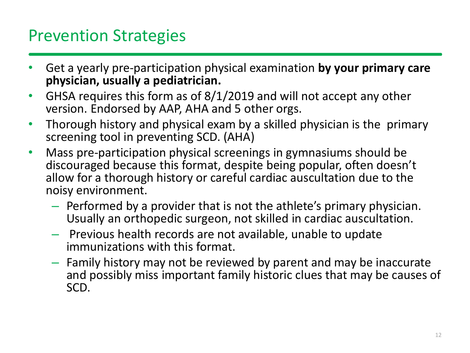### Prevention Strategies

- Get a yearly pre-participation physical examination **by your primary care physician, usually a pediatrician.**
- GHSA requires this form as of 8/1/2019 and will not accept any other version. Endorsed by AAP, AHA and 5 other orgs.
- Thorough history and physical exam by a skilled physician is the primary screening tool in preventing SCD. (AHA)
- Mass pre-participation physical screenings in gymnasiums should be discouraged because this format, despite being popular, often doesn't allow for a thorough history or careful cardiac auscultation due to the noisy environment.
	- Performed by a provider that is not the athlete's primary physician. Usually an orthopedic surgeon, not skilled in cardiac auscultation.
	- Previous health records are not available, unable to update immunizations with this format.
	- Family history may not be reviewed by parent and may be inaccurate and possibly miss important family historic clues that may be causes of SCD.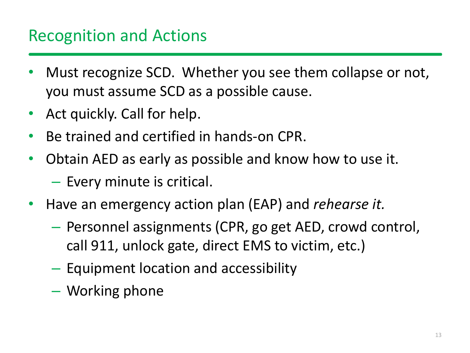### Recognition and Actions

- Must recognize SCD. Whether you see them collapse or not, you must assume SCD as a possible cause.
- Act quickly. Call for help.
- Be trained and certified in hands-on CPR.
- Obtain AED as early as possible and know how to use it.
	- Every minute is critical.
- Have an emergency action plan (EAP) and *rehearse it.*
	- Personnel assignments (CPR, go get AED, crowd control, call 911, unlock gate, direct EMS to victim, etc.)
	- Equipment location and accessibility
	- Working phone